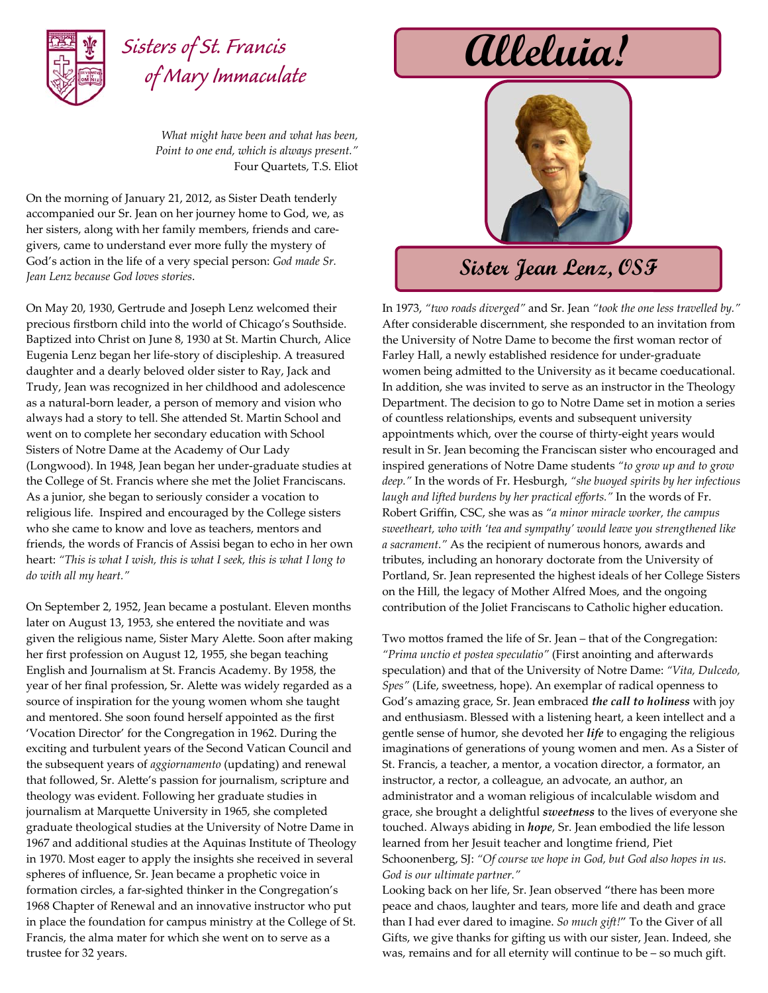

## **Alleluia!** *Sisters of St. Francis of Mary Immaculate*

*What might have been and what has been, Point to one end, which is always present."* Four Quartets, T.S. Eliot

On the morning of January 21, 2012, as Sister Death tenderly accompanied our Sr. Jean on her journey home to God, we, as her sisters, along with her family members, friends and caregivers, came to understand ever more fully the mystery of God's action in the life of a very special person: *God made Sr. Jean Lenz because God loves stories*.

On May 20, 1930, Gertrude and Joseph Lenz welcomed their precious firstborn child into the world of Chicago's Southside. Baptized into Christ on June 8, 1930 at St. Martin Church, Alice Eugenia Lenz began her life‐story of discipleship. A treasured daughter and a dearly beloved older sister to Ray, Jack and Trudy, Jean was recognized in her childhood and adolescence as a natural‐born leader, a person of memory and vision who always had a story to tell. She attended St. Martin School and went on to complete her secondary education with School Sisters of Notre Dame at the Academy of Our Lady (Longwood). In 1948, Jean began her under‐graduate studies at the College of St. Francis where she met the Joliet Franciscans. As a junior, she began to seriously consider a vocation to religious life. Inspired and encouraged by the College sisters who she came to know and love as teachers, mentors and friends, the words of Francis of Assisi began to echo in her own heart: *"This is what I wish, this is what I seek, this is what I long to do with all my heart."* 

On September 2, 1952, Jean became a postulant. Eleven months later on August 13, 1953, she entered the novitiate and was given the religious name, Sister Mary Alette. Soon after making her first profession on August 12, 1955, she began teaching English and Journalism at St. Francis Academy. By 1958, the year of her final profession, Sr. Alette was widely regarded as a source of inspiration for the young women whom she taught and mentored. She soon found herself appointed as the first 'Vocation Director' for the Congregation in 1962. During the exciting and turbulent years of the Second Vatican Council and the subsequent years of *aggiornamento* (updating) and renewal that followed, Sr. Alette's passion for journalism, scripture and theology was evident. Following her graduate studies in journalism at Marquette University in 1965, she completed graduate theological studies at the University of Notre Dame in 1967 and additional studies at the Aquinas Institute of Theology in 1970. Most eager to apply the insights she received in several spheres of influence, Sr. Jean became a prophetic voice in formation circles, a far‐sighted thinker in the Congregation's 1968 Chapter of Renewal and an innovative instructor who put in place the foundation for campus ministry at the College of St. Francis, the alma mater for which she went on to serve as a trustee for 32 years.



## **Sister Jean Lenz, OSF**

In 1973, *"two roads diverged"* and Sr. Jean *"took the one less travelled by."* After considerable discernment, she responded to an invitation from the University of Notre Dame to become the first woman rector of Farley Hall, a newly established residence for under‐graduate women being admitted to the University as it became coeducational. In addition, she was invited to serve as an instructor in the Theology Department. The decision to go to Notre Dame set in motion a series of countless relationships, events and subsequent university appointments which, over the course of thirty‐eight years would result in Sr. Jean becoming the Franciscan sister who encouraged and inspired generations of Notre Dame students *"to grow up and to grow deep."* In the words of Fr. Hesburgh, *"she buoyed spirits by her infectious laugh and lifted burdens by her practical efforts."* In the words of Fr. Robert Griffin, CSC, she was as *"a minor miracle worker, the campus sweetheart, who with 'tea and sympathy' would leave you strengthened like a sacrament."* As the recipient of numerous honors, awards and tributes, including an honorary doctorate from the University of Portland, Sr. Jean represented the highest ideals of her College Sisters on the Hill, the legacy of Mother Alfred Moes, and the ongoing contribution of the Joliet Franciscans to Catholic higher education.

Two mottos framed the life of Sr. Jean – that of the Congregation: *"Prima unctio et postea speculatio"* (First anointing and afterwards speculation) and that of the University of Notre Dame: *"Vita, Dulcedo, Spes"* (Life, sweetness, hope). An exemplar of radical openness to God's amazing grace, Sr. Jean embraced *the call to holiness* with joy and enthusiasm. Blessed with a listening heart, a keen intellect and a gentle sense of humor, she devoted her *life* to engaging the religious imaginations of generations of young women and men. As a Sister of St. Francis, a teacher, a mentor, a vocation director, a formator, an instructor, a rector, a colleague, an advocate, an author, an administrator and a woman religious of incalculable wisdom and grace, she brought a delightful *sweetness* to the lives of everyone she touched. Always abiding in *hope*, Sr. Jean embodied the life lesson learned from her Jesuit teacher and longtime friend, Piet Schoonenberg, SJ: *"Of course we hope in God, but God also hopes in us. God is our ultimate partner."*

Looking back on her life, Sr. Jean observed "there has been more peace and chaos, laughter and tears, more life and death and grace than I had ever dared to imagine. *So much gift!*" To the Giver of all Gifts, we give thanks for gifting us with our sister, Jean. Indeed, she was, remains and for all eternity will continue to be – so much gift.